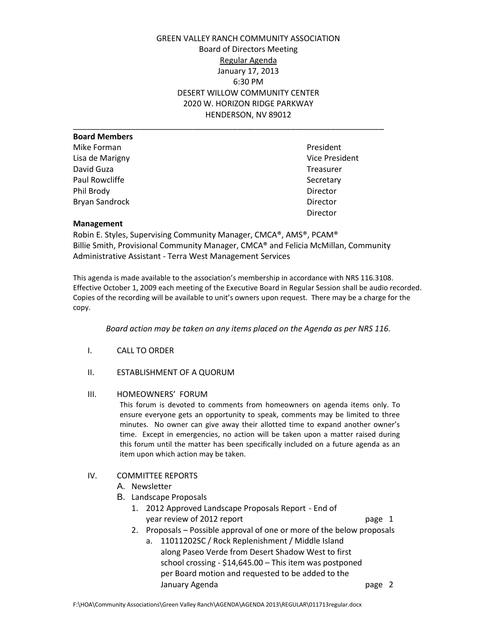GREEN VALLEY RANCH COMMUNITY ASSOCIATION Board of Directors Meeting Regular Agenda January 17, 2013 6:30 PM DESERT WILLOW COMMUNITY CENTER 2020 W. HORIZON RIDGE PARKWAY HENDERSON, NV 89012

| <b>Board Members</b>  |                |
|-----------------------|----------------|
| Mike Forman           | President      |
| Lisa de Marigny       | Vice President |
| David Guza            | Treasurer      |
| Paul Rowcliffe        | Secretary      |
| Phil Brody            | Director       |
| <b>Bryan Sandrock</b> | Director       |
|                       | $Din + \alpha$ |

Vice President Treasurer Director

#### **Management**

Robin E. Styles, Supervising Community Manager, CMCA®, AMS®, PCAM® Billie Smith, Provisional Community Manager, CMCA® and Felicia McMillan, Community Administrative Assistant - Terra West Management Services

This agenda is made available to the association's membership in accordance with NRS 116.3108. Effective October 1, 2009 each meeting of the Executive Board in Regular Session shall be audio recorded. Copies of the recording will be available to unit's owners upon request. There may be a charge for the copy.

*Board action may be taken on any items placed on the Agenda as per NRS 116.*

- I. CALL TO ORDER
- II. ESTABLISHMENT OF A QUORUM

# III. HOMEOWNERS' FORUM

This forum is devoted to comments from homeowners on agenda items only. To ensure everyone gets an opportunity to speak, comments may be limited to three minutes. No owner can give away their allotted time to expand another owner's time. Except in emergencies, no action will be taken upon a matter raised during this forum until the matter has been specifically included on a future agenda as an item upon which action may be taken.

## IV. COMMITTEE REPORTS

- A. Newsletter
- B. Landscape Proposals
	- 1. 2012 Approved Landscape Proposals Report End of year review of 2012 report page 1
	- 2. Proposals Possible approval of one or more of the below proposals
		- a. 11011202SC / Rock Replenishment / Middle Island along Paseo Verde from Desert Shadow West to first school crossing - \$14,645.00 – This item was postponed per Board motion and requested to be added to the January Agenda **page 2**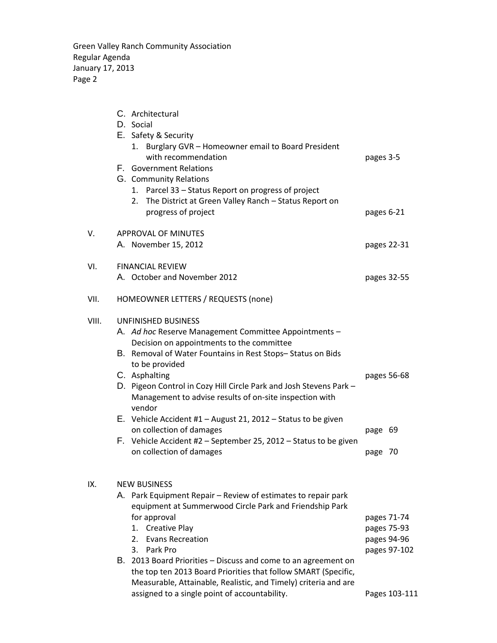Green Valley Ranch Community Association Regular Agenda January 17, 2013 Page 2

|       | C. Architectural<br>D. Social<br>E. Safety & Security<br>1. Burglary GVR - Homeowner email to Board President<br>with recommendation<br>F. Government Relations<br>G. Community Relations<br>1. Parcel 33 - Status Report on progress of project<br>The District at Green Valley Ranch - Status Report on<br>2.                                                                                                                                                                                                                                                               | pages 3-5                                                                  |
|-------|-------------------------------------------------------------------------------------------------------------------------------------------------------------------------------------------------------------------------------------------------------------------------------------------------------------------------------------------------------------------------------------------------------------------------------------------------------------------------------------------------------------------------------------------------------------------------------|----------------------------------------------------------------------------|
|       | progress of project                                                                                                                                                                                                                                                                                                                                                                                                                                                                                                                                                           | pages 6-21                                                                 |
| V.    | <b>APPROVAL OF MINUTES</b><br>A. November 15, 2012                                                                                                                                                                                                                                                                                                                                                                                                                                                                                                                            | pages 22-31                                                                |
| VI.   | <b>FINANCIAL REVIEW</b><br>A. October and November 2012                                                                                                                                                                                                                                                                                                                                                                                                                                                                                                                       | pages 32-55                                                                |
| VII.  | HOMEOWNER LETTERS / REQUESTS (none)                                                                                                                                                                                                                                                                                                                                                                                                                                                                                                                                           |                                                                            |
| VIII. | <b>UNFINISHED BUSINESS</b><br>A. Ad hoc Reserve Management Committee Appointments -<br>Decision on appointments to the committee<br>B. Removal of Water Fountains in Rest Stops-Status on Bids<br>to be provided<br>C. Asphalting<br>D. Pigeon Control in Cozy Hill Circle Park and Josh Stevens Park -<br>Management to advise results of on-site inspection with<br>vendor<br>E. Vehicle Accident #1 $-$ August 21, 2012 $-$ Status to be given<br>on collection of damages<br>F. Vehicle Accident #2 - September 25, 2012 - Status to be given<br>on collection of damages | pages 56-68<br>page 69<br>page 70                                          |
| IX.   | <b>NEW BUSINESS</b><br>A. Park Equipment Repair - Review of estimates to repair park<br>equipment at Summerwood Circle Park and Friendship Park<br>for approval<br>1. Creative Play<br><b>Evans Recreation</b><br>2.<br>Park Pro<br>3.<br>B. 2013 Board Priorities – Discuss and come to an agreement on<br>the top ten 2013 Board Priorities that follow SMART (Specific,<br>Measurable, Attainable, Realistic, and Timely) criteria and are<br>assigned to a single point of accountability.                                                                                | pages 71-74<br>pages 75-93<br>pages 94-96<br>pages 97-102<br>Pages 103-111 |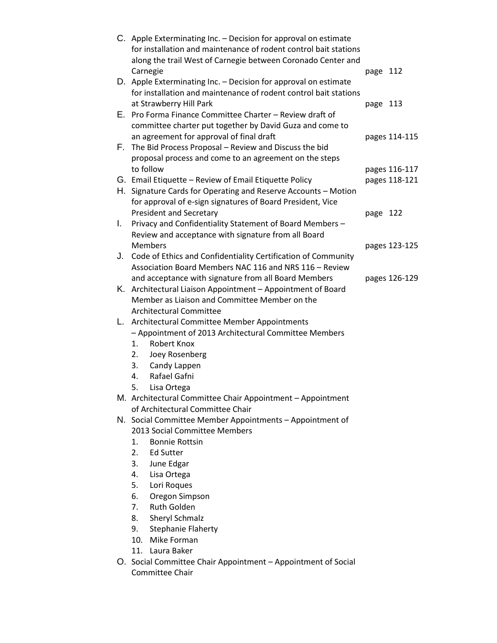|    | C. Apple Exterminating Inc. - Decision for approval on estimate<br>for installation and maintenance of rodent control bait stations |          |               |
|----|-------------------------------------------------------------------------------------------------------------------------------------|----------|---------------|
|    | along the trail West of Carnegie between Coronado Center and                                                                        |          |               |
|    | Carnegie<br>D. Apple Exterminating Inc. - Decision for approval on estimate                                                         | page 112 |               |
|    | for installation and maintenance of rodent control bait stations                                                                    |          |               |
|    | at Strawberry Hill Park                                                                                                             | page 113 |               |
|    | E. Pro Forma Finance Committee Charter - Review draft of                                                                            |          |               |
|    | committee charter put together by David Guza and come to                                                                            |          |               |
|    | an agreement for approval of final draft                                                                                            |          | pages 114-115 |
|    | F. The Bid Process Proposal - Review and Discuss the bid                                                                            |          |               |
|    | proposal process and come to an agreement on the steps                                                                              |          |               |
|    | to follow                                                                                                                           |          | pages 116-117 |
|    | G. Email Etiquette - Review of Email Etiquette Policy                                                                               |          | pages 118-121 |
|    | H. Signature Cards for Operating and Reserve Accounts - Motion                                                                      |          |               |
|    | for approval of e-sign signatures of Board President, Vice                                                                          |          |               |
|    | <b>President and Secretary</b>                                                                                                      | page 122 |               |
| I. | Privacy and Confidentiality Statement of Board Members -                                                                            |          |               |
|    | Review and acceptance with signature from all Board                                                                                 |          |               |
|    | <b>Members</b>                                                                                                                      |          | pages 123-125 |
|    | J. Code of Ethics and Confidentiality Certification of Community                                                                    |          |               |
|    | Association Board Members NAC 116 and NRS 116 - Review                                                                              |          |               |
|    | and acceptance with signature from all Board Members<br>K. Architectural Liaison Appointment - Appointment of Board                 |          | pages 126-129 |
|    | Member as Liaison and Committee Member on the                                                                                       |          |               |
|    | <b>Architectural Committee</b>                                                                                                      |          |               |
|    | L. Architectural Committee Member Appointments                                                                                      |          |               |
|    | - Appointment of 2013 Architectural Committee Members                                                                               |          |               |
|    | Robert Knox<br>1.                                                                                                                   |          |               |
|    | Joey Rosenberg<br>2.                                                                                                                |          |               |
|    | Candy Lappen<br>3.                                                                                                                  |          |               |
|    | Rafael Gafni<br>4.                                                                                                                  |          |               |
|    | 5.<br>Lisa Ortega                                                                                                                   |          |               |
|    | M. Architectural Committee Chair Appointment - Appointment                                                                          |          |               |
|    | of Architectural Committee Chair                                                                                                    |          |               |
|    | N. Social Committee Member Appointments - Appointment of                                                                            |          |               |
|    | 2013 Social Committee Members                                                                                                       |          |               |
|    | <b>Bonnie Rottsin</b><br>1.                                                                                                         |          |               |
|    | 2.<br>Ed Sutter                                                                                                                     |          |               |
|    | 3.<br>June Edgar                                                                                                                    |          |               |
|    | 4.<br>Lisa Ortega                                                                                                                   |          |               |
|    | 5.<br>Lori Roques<br>Oregon Simpson<br>6.                                                                                           |          |               |
|    | <b>Ruth Golden</b><br>7.                                                                                                            |          |               |
|    | 8.<br>Sheryl Schmalz                                                                                                                |          |               |
|    | <b>Stephanie Flaherty</b><br>9.                                                                                                     |          |               |
|    | Mike Forman<br>10.                                                                                                                  |          |               |
|    | 11. Laura Baker                                                                                                                     |          |               |
|    | O. Social Committee Chair Appointment – Appointment of Social                                                                       |          |               |
|    | Committee Chair                                                                                                                     |          |               |